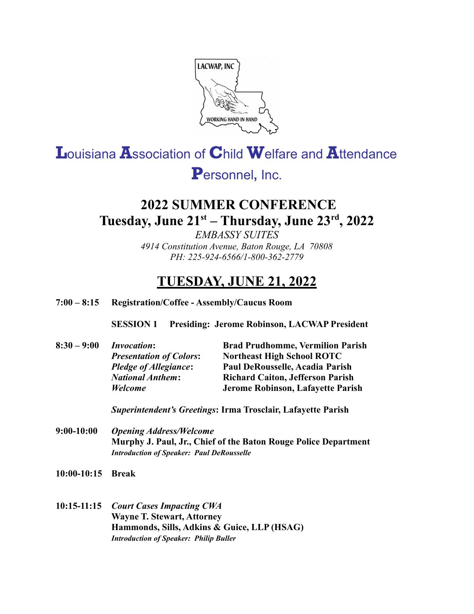

# Louisiana Association of Child Welfare and Attendance

# Personnel, Inc.

# **2022 SUMMER CONFERENCE** Tuesday, June 21<sup>st</sup> - Thursday, June 23<sup>rd</sup>, 2022

**EMBASSY SUITES** 4914 Constitution Avenue, Baton Rouge, LA 70808 PH: 225-924-6566/1-800-362-2779

## **TUESDAY, JUNE 21, 2022**

#### $7:00 - 8:15$ Registration/Coffee - Assembly/Caucus Room

**SESSION 1 Presiding: Jerome Robinson, LACWAP President** 

| $8:30 - 9:00$ | <b>Invocation:</b>             | <b>Brad Prudhomme, Vermilion Parish</b> |
|---------------|--------------------------------|-----------------------------------------|
|               | <b>Presentation of Colors:</b> | <b>Northeast High School ROTC</b>       |
|               | <b>Pledge of Allegiance:</b>   | Paul DeRousselle, Acadia Parish         |
|               | <b>National Anthem:</b>        | <b>Richard Caiton, Jefferson Parish</b> |
|               | <b>Welcome</b>                 | Jerome Robinson, Lafayette Parish       |
|               |                                |                                         |

Superintendent's Greetings: Irma Trosclair, Lafayette Parish

 $9:00-10:00$ **Opening Address/Welcome** Murphy J. Paul, Jr., Chief of the Baton Rouge Police Department **Introduction of Speaker: Paul DeRousselle** 

10:00-10:15 Break

### 10:15-11:15 Court Cases Impacting CWA **Wayne T. Stewart, Attorney** Hammonds, Sills, Adkins & Guice, LLP (HSAG) **Introduction of Speaker: Philip Buller**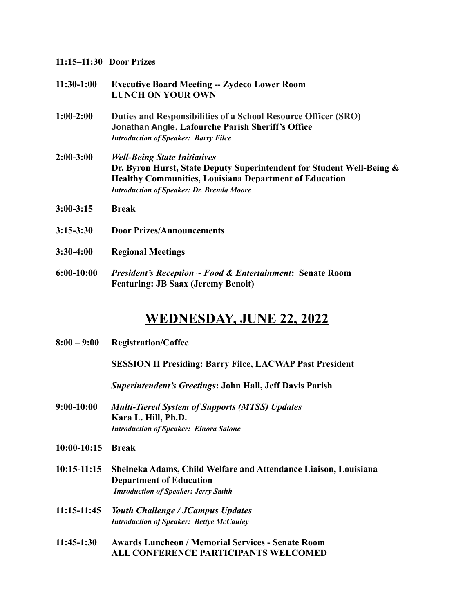| $11:30-1:00$  | <b>Executive Board Meeting -- Zydeco Lower Room</b><br><b>LUNCH ON YOUR OWN</b>                                                                                                                                                   |  |
|---------------|-----------------------------------------------------------------------------------------------------------------------------------------------------------------------------------------------------------------------------------|--|
| $1:00-2:00$   | Duties and Responsibilities of a School Resource Officer (SRO)<br>Jonathan Angle, Lafourche Parish Sheriff's Office<br><b>Introduction of Speaker: Barry Filce</b>                                                                |  |
| $2:00-3:00$   | <b>Well-Being State Initiatives</b><br>Dr. Byron Hurst, State Deputy Superintendent for Student Well-Being &<br><b>Healthy Communities, Louisiana Department of Education</b><br><b>Introduction of Speaker: Dr. Brenda Moore</b> |  |
| $3:00 - 3:15$ | <b>Break</b>                                                                                                                                                                                                                      |  |
| $3:15 - 3:30$ | <b>Door Prizes/Announcements</b>                                                                                                                                                                                                  |  |
| $3:30-4:00$   | <b>Regional Meetings</b>                                                                                                                                                                                                          |  |
| $6:00-10:00$  | <i>President's Reception <math>\sim</math> Food &amp; Entertainment:</i> Senate Room<br><b>Featuring: JB Saax (Jeremy Benoit)</b>                                                                                                 |  |

## **WEDNESDAY, JUNE 22, 2022**

**8:00 – 9:00 Registration/Coffee**

**SESSION II Presiding: Barry Filce, LACWAP Past President**

*Superintendent's Greetings***: John Hall, Jeff Davis Parish**

- **9:00-10:00** *Multi-Tiered System of Supports (MTSS) Updates* **Kara L. Hill, Ph.D.** *Introduction of Speaker: Elnora Salone*
- **10:00-10:15 Break**
- **10:15-11:15 Shelneka Adams, Child Welfare and Attendance Liaison, Louisiana Department of Education** *Introduction of Speaker: Jerry Smith*
- **11:15-11:45** *Youth Challenge / JCampus Updates Introduction of Speaker: Bettye McCauley*
- **11:45-1:30 Awards Luncheon / Memorial Services Senate Room ALL CONFERENCE PARTICIPANTS WELCOMED**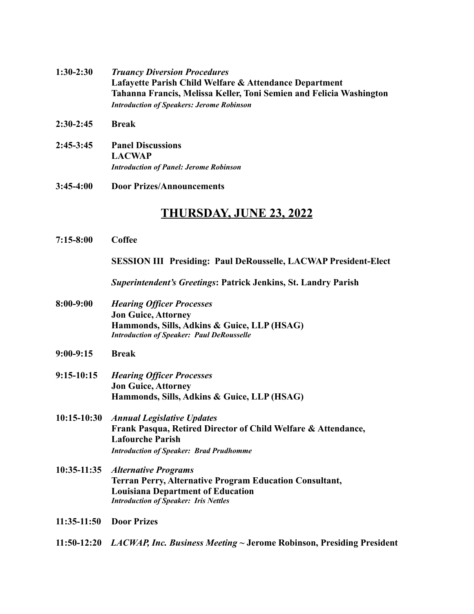- **1:30-2:30** *Truancy Diversion Procedures* **Lafayette Parish Child Welfare & Attendance Department Tahanna Francis, Melissa Keller, Toni Semien and Felicia Washington** *Introduction of Speakers: Jerome Robinson*
- **2:30-2:45 Break**
- **2:45-3:45 Panel Discussions LACWAP** *Introduction of Panel: Jerome Robinson*
- **3:45-4:00 Door Prizes/Announcements**

## **THURSDAY, JUNE 23, 2022**

**7:15-8:00 Coffee SESSION III Presiding: Paul DeRousselle, LACWAP President-Elect** *Superintendent's Greetings***: Patrick Jenkins, St. Landry Parish 8:00-9:00** *Hearing Officer Processes* **Jon Guice, Attorney Hammonds, Sills, Adkins & Guice, LLP (HSAG)** *Introduction of Speaker: Paul DeRousselle* **9:00-9:15 Break 9:15-10:15** *Hearing Officer Processes* **Jon Guice, Attorney Hammonds, Sills, Adkins & Guice, LLP (HSAG) 10:15-10:30** *Annual Legislative Updates* **Frank Pasqua, Retired Director of Child Welfare & Attendance, Lafourche Parish** *Introduction of Speaker: Brad Prudhomme* **10:35-11:35** *Alternative Programs* **Terran Perry, Alternative Program Education Consultant, Louisiana Department of Education** *Introduction of Speaker: Iris Nettles* **11:35-11:50 Door Prizes 11:50-12:20** *LACWAP, Inc. Business Meeting* **~ Jerome Robinson, Presiding President**